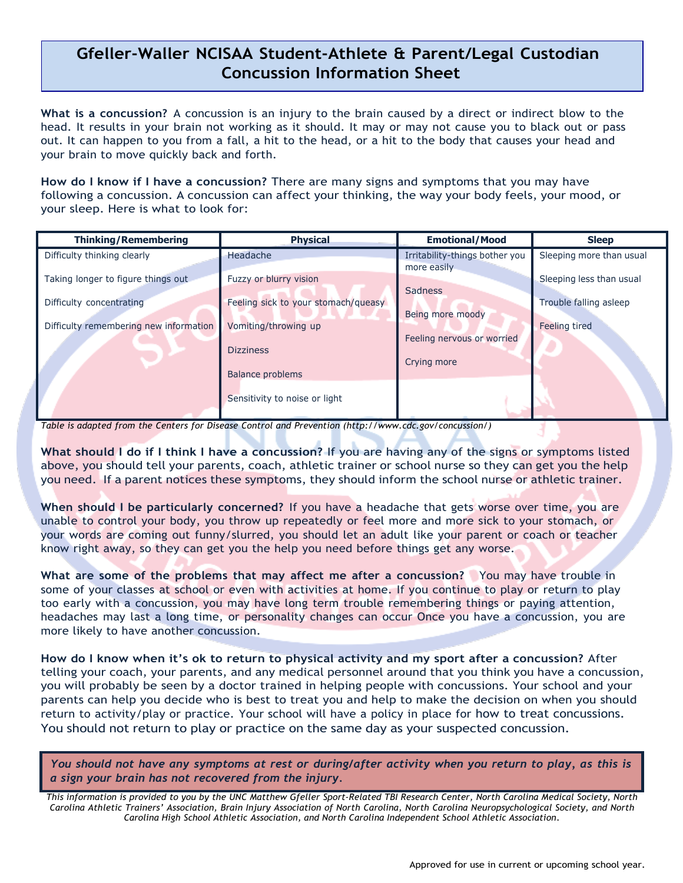## **Gfeller-Waller NCISAA Student-Athlete & Parent/Legal Custodian Concussion Information Sheet**

**What is a concussion?** A concussion is an injury to the brain caused by a direct or indirect blow to the head. It results in your brain not working as it should. It may or may not cause you to black out or pass out. It can happen to you from a fall, a hit to the head, or a hit to the body that causes your head and your brain to move quickly back and forth.

**How do I know if I have a concussion?** There are many signs and symptoms that you may have following a concussion. A concussion can affect your thinking, the way your body feels, your mood, or your sleep. Here is what to look for:

| <b>Thinking/Remembering</b>            | <b>Physical</b>                     | <b>Emotional/Mood</b>                         | <b>Sleep</b>             |
|----------------------------------------|-------------------------------------|-----------------------------------------------|--------------------------|
| Difficulty thinking clearly            | Headache                            | Irritability-things bother you<br>more easily | Sleeping more than usual |
| Taking longer to figure things out     | Fuzzy or blurry vision              | <b>Sadness</b>                                | Sleeping less than usual |
| Difficulty concentrating               | Feeling sick to your stomach/queasy | Being more moody                              | Trouble falling asleep   |
| Difficulty remembering new information | Vomiting/throwing up                | Feeling nervous or worried                    | Feeling tired            |
|                                        | <b>Dizziness</b>                    | Crying more                                   |                          |
|                                        | Balance problems                    |                                               |                          |
|                                        | Sensitivity to noise or light       |                                               |                          |

*Table is adapted from the Centers for Disease Control and Prevention [\(http://www.cdc.gov/concussion/\)](http://www.cdc.gov/concussion/))*

**What should I do if I think I have a concussion?** If you are having any of the signs or symptoms listed above, you should tell your parents, coach, athletic trainer or school nurse so they can get you the help you need. If a parent notices these symptoms, they should inform the school nurse or athletic trainer.

**When should I be particularly concerned?** If you have a headache that gets worse over time, you are unable to control your body, you throw up repeatedly or feel more and more sick to your stomach, or your words are coming out funny/slurred, you should let an adult like your parent or coach or teacher know right away, so they can get you the help you need before things get any worse.

**What are some of the problems that may affect me after a concussion?** You may have trouble in some of your classes at school or even with activities at home. If you continue to play or return to play too early with a concussion, you may have long term trouble remembering things or paying attention, headaches may last a long time, or personality changes can occur Once you have a concussion, you are more likely to have another concussion.

**How do I know when it's ok to return to physical activity and my sport after a concussion?** After telling your coach, your parents, and any medical personnel around that you think you have a concussion, you will probably be seen by a doctor trained in helping people with concussions. Your school and your parents can help you decide who is best to treat you and help to make the decision on when you should return to activity/play or practice. Your school will have a policy in place for how to treat concussions. You should not return to play or practice on the same day as your suspected concussion.

You should not have any symptoms at rest or during/after activity when you return to play, as this is *a sign your brain has not recovered from the injury.*

This information is provided to you by the UNC Matthew Gfeller Sport-Related TBI Research Center, North Carolina Medical Society, North Carolina Athletic Trainers' Association, Brain Injury Association of North Carolina, North Carolina Neuropsychological Society, and North *Carolina High School Athletic Association, and North Carolina Independent School Athletic Association.*